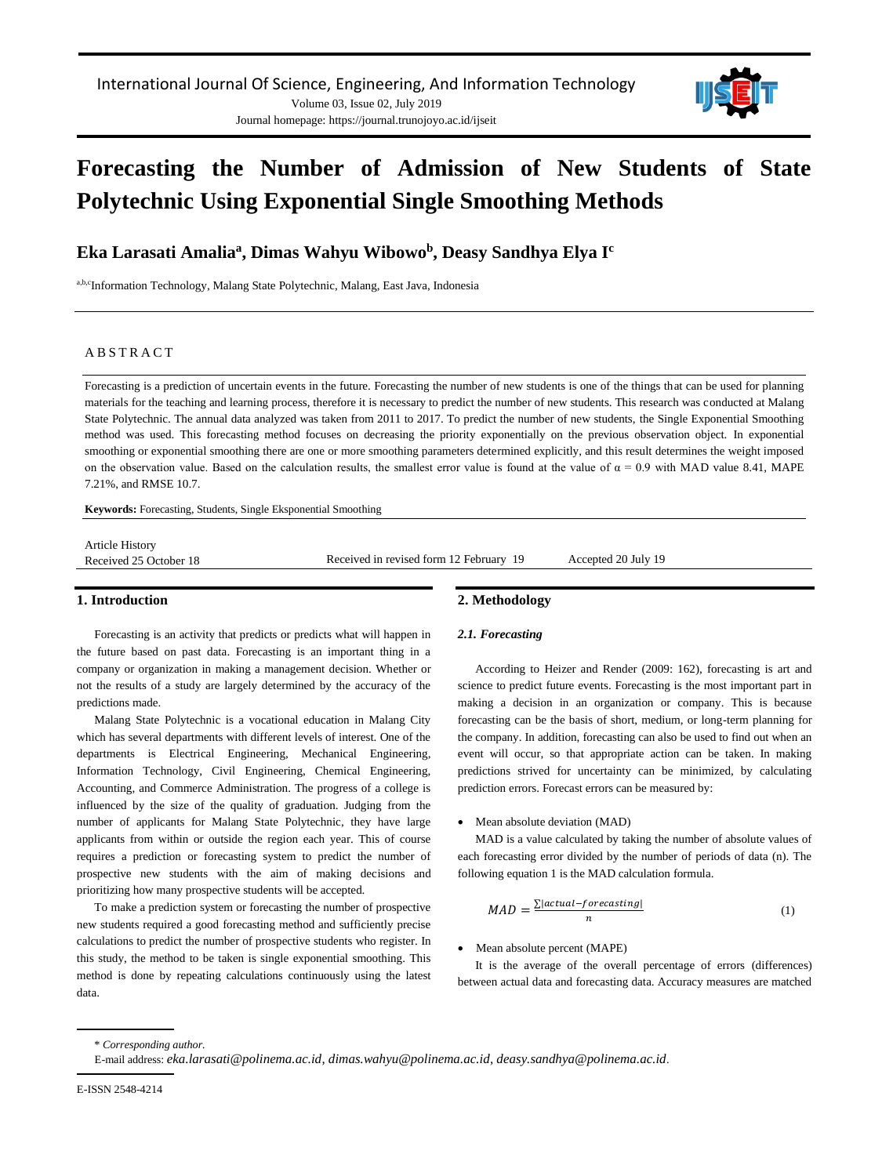

# **Forecasting the Number of Admission of New Students of State Polytechnic Using Exponential Single Smoothing Methods**

**Eka Larasati Amalia<sup>a</sup> , Dimas Wahyu Wibowo<sup>b</sup> , Deasy Sandhya Elya I<sup>c</sup>**

a,b,cInformation Technology, Malang State Polytechnic, Malang, East Java, Indonesia

#### A B S T R A C T

Forecasting is a prediction of uncertain events in the future. Forecasting the number of new students is one of the things that can be used for planning materials for the teaching and learning process, therefore it is necessary to predict the number of new students. This research was conducted at Malang State Polytechnic. The annual data analyzed was taken from 2011 to 2017. To predict the number of new students, the Single Exponential Smoothing method was used. This forecasting method focuses on decreasing the priority exponentially on the previous observation object. In exponential smoothing or exponential smoothing there are one or more smoothing parameters determined explicitly, and this result determines the weight imposed on the observation value. Based on the calculation results, the smallest error value is found at the value of  $\alpha = 0.9$  with MAD value 8.41, MAPE 7.21%, and RMSE 10.7.

**Keywords:** Forecasting, Students, Single Eksponential Smoothing

| <b>Article History</b> |                                         |                     |
|------------------------|-----------------------------------------|---------------------|
| Received 25 October 18 | Received in revised form 12 February 19 | Accepted 20 July 19 |
|                        |                                         |                     |

#### **1. Introduction**

Forecasting is an activity that predicts or predicts what will happen in the future based on past data. Forecasting is an important thing in a company or organization in making a management decision. Whether or not the results of a study are largely determined by the accuracy of the predictions made.

Malang State Polytechnic is a vocational education in Malang City which has several departments with different levels of interest. One of the departments is Electrical Engineering, Mechanical Engineering, Information Technology, Civil Engineering, Chemical Engineering, Accounting, and Commerce Administration. The progress of a college is influenced by the size of the quality of graduation. Judging from the number of applicants for Malang State Polytechnic, they have large applicants from within or outside the region each year. This of course requires a prediction or forecasting system to predict the number of prospective new students with the aim of making decisions and prioritizing how many prospective students will be accepted.

To make a prediction system or forecasting the number of prospective new students required a good forecasting method and sufficiently precise calculations to predict the number of prospective students who register. In this study, the method to be taken is single exponential smoothing. This method is done by repeating calculations continuously using the latest data.

# **2. Methodology**

### *2.1. Forecasting*

According to Heizer and Render (2009: 162), forecasting is art and science to predict future events. Forecasting is the most important part in making a decision in an organization or company. This is because forecasting can be the basis of short, medium, or long-term planning for the company. In addition, forecasting can also be used to find out when an event will occur, so that appropriate action can be taken. In making predictions strived for uncertainty can be minimized, by calculating prediction errors. Forecast errors can be measured by:

#### Mean absolute deviation (MAD)

MAD is a value calculated by taking the number of absolute values of each forecasting error divided by the number of periods of data (n). The following equation 1 is the MAD calculation formula.

$$
MAD = \frac{\sum |actual-forecasting|}{n}
$$
 (1)

• Mean absolute percent (MAPE)

It is the average of the overall percentage of errors (differences) between actual data and forecasting data. Accuracy measures are matched

\* *Corresponding author.*

E-mail address: *[eka.larasati@polinema.ac.id,](mailto:eka.larasati@polinema.ac.id) [dimas.wahyu@polinema.ac.id,](mailto:dimas.wahyu@polinema.ac.id) [deasy.sandhya@polinema.ac.id](mailto:deasy.sandhya@polinema.ac.id)*.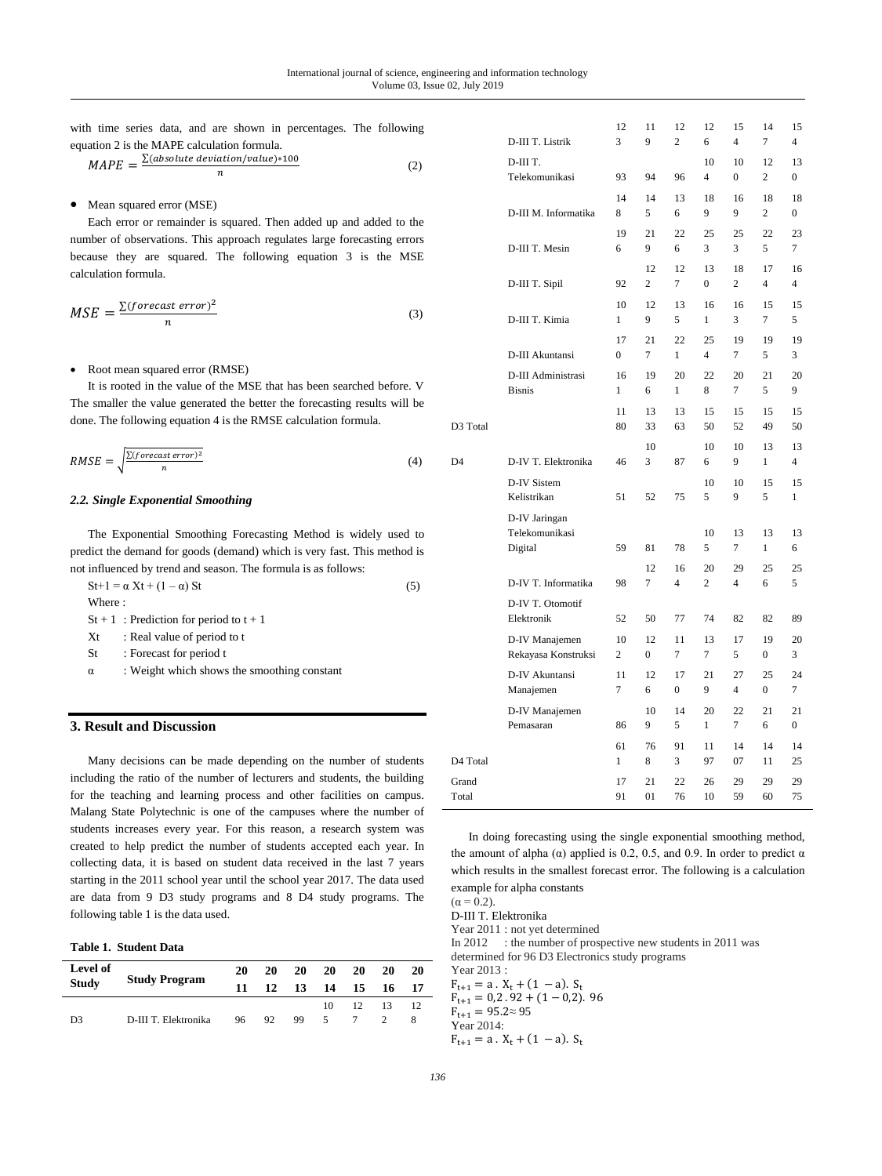|  |  |  |                                             | with time series data, and are shown in percentages. The following |  |
|--|--|--|---------------------------------------------|--------------------------------------------------------------------|--|
|  |  |  | equation 2 is the MAPE calculation formula. |                                                                    |  |

$$
MAPE = \frac{\sum (absolute\;deviation/value) * 100}{n}
$$
 (2)

# • Mean squared error (MSE)

Each error or remainder is squared. Then added up and added to the number of observations. This approach regulates large forecasting errors because they are squared. The following equation 3 is the MSE calculation formula.

$$
MSE = \frac{\sum (forecast\ error)^2}{n}
$$
 (3)

#### • Root mean squared error (RMSE)

It is rooted in the value of the MSE that has been searched before. V The smaller the value generated the better the forecasting results will be done. The following equation 4 is the RMSE calculation formula.

$$
RMSE = \sqrt{\frac{\Sigma (forceast\ error)^2}{n}}\tag{4}
$$

### *2.2. Single Exponential Smoothing*

The Exponential Smoothing Forecasting Method is widely used to predict the demand for goods (demand) which is very fast. This method is not influenced by trend and season. The formula is as follows:

| $St+1 = \alpha Xt + (1-\alpha) St$          | (5) |
|---------------------------------------------|-----|
| Where:                                      |     |
| $St + 1$ : Prediction for period to $t + 1$ |     |

- Xt : Real value of period to t
- St : Forecast for period t
- α : Weight which shows the smoothing constant

# **3. Result and Discussion**

Many decisions can be made depending on the number of students including the ratio of the number of lecturers and students, the building for the teaching and learning process and other facilities on campus. Malang State Polytechnic is one of the campuses where the number of students increases every year. For this reason, a research system was created to help predict the number of students accepted each year. In collecting data, it is based on student data received in the last 7 years starting in the 2011 school year until the school year 2017. The data used are data from 9 D3 study programs and 8 D4 study programs. The following table 1 is the data used.

#### **Table 1. Student Data**

| Level of<br><b>Study</b> | <b>Study Program</b> | 20<br>11 | <b>20</b> | 20<br>12 13 | 20 | 20<br>14 15      | 20<br>- 16 | 20<br>-17 |
|--------------------------|----------------------|----------|-----------|-------------|----|------------------|------------|-----------|
|                          |                      |          |           |             |    | $10 \t 12 \t 13$ |            | -12       |
| D <sub>3</sub>           | D-III T. Elektronika | 96 92    |           | 99.         | 5  |                  |            |           |

|                | D-III T. Listrik                           | 12<br>3              | 11<br>9              | 12<br>$\overline{c}$ | 12<br>6              | 15<br>$\overline{4}$ | 14<br>7                  | 15<br>4              |
|----------------|--------------------------------------------|----------------------|----------------------|----------------------|----------------------|----------------------|--------------------------|----------------------|
|                | D-III T.                                   |                      |                      |                      | 10                   | 10                   | 12                       | 13                   |
|                | Telekomunikasi                             | 93                   | 94                   | 96                   | 4                    | $\Omega$             | $\overline{c}$           | 0                    |
|                | D-III M. Informatika                       | 14<br>8              | 14<br>5              | 13<br>6              | 18<br>9              | 16<br>9              | 18<br>$\overline{c}$     | 18<br>$\overline{0}$ |
|                | D-III T. Mesin                             | 19<br>6              | 21<br>9              | 22<br>6              | 25<br>3              | 25<br>3              | 22<br>5                  | 23<br>$\overline{7}$ |
|                | D-III T. Sipil                             | 92                   | 12<br>$\overline{c}$ | 12<br>7              | 13<br>$\overline{0}$ | 18<br>$\overline{c}$ | 17<br>4                  | 16<br>4              |
|                | D-III T. Kimia                             | 10<br>1              | 12<br>9              | 13<br>5              | 16<br>1              | 16<br>3              | 15<br>$\overline{7}$     | 15<br>5              |
|                | D-III Akuntansi                            | 17<br>$\overline{0}$ | 21<br>$\overline{7}$ | 22<br>1              | 25<br>$\overline{4}$ | 19<br>$\overline{7}$ | 19<br>5                  | 19<br>3              |
|                | D-III Administrasi<br><b>Bisnis</b>        | 16<br>1              | 19<br>6              | 20<br>1              | 22<br>8              | 20<br>7              | 21<br>5                  | 20<br>9              |
| D3 Total       |                                            | 11<br>80             | 13<br>33             | 13<br>63             | 15<br>50             | 15<br>52             | 15<br>49                 | 15<br>50             |
|                |                                            |                      | 10                   |                      | 10                   | 10                   | 13                       | 13                   |
| D <sub>4</sub> | D-IV T. Elektronika                        | 46                   | 3                    | 87                   | 6                    | 9                    | $\mathbf{1}$             | $\overline{4}$       |
|                | D-IV Sistem<br>Kelistrikan                 | 51                   | 52                   | 75                   | 10<br>5              | 10<br>9              | 15<br>5                  | 15<br>$\mathbf{1}$   |
|                | D-IV Jaringan<br>Telekomunikasi<br>Digital | 59                   | 81<br>12             | 78<br>16             | 10<br>5<br>20        | 13<br>7<br>29        | 13<br>$\mathbf{1}$<br>25 | 13<br>6<br>25        |
|                | D-IV T. Informatika                        | 98                   | $\overline{7}$       | $\overline{4}$       | $\overline{c}$       | $\overline{4}$       | 6                        | 5                    |
|                | D-IV T. Otomotif<br>Elektronik             | 52                   | 50                   | 77                   | 74                   | 82                   | 82                       | 89                   |
|                | D-IV Manajemen<br>Rekayasa Konstruksi      | 10<br>$\overline{c}$ | 12<br>$\overline{0}$ | 11<br>7              | 13<br>7              | 17<br>5              | 19<br>$\boldsymbol{0}$   | 20<br>3              |
|                | D-IV Akuntansi<br>Manajemen                | 11<br>7              | 12<br>6              | 17<br>0              | 21<br>9              | 27<br>$\overline{4}$ | 25<br>0                  | 24<br>7              |
|                | D-IV Manajemen<br>Pemasaran                | 86                   | 10<br>9              | 14<br>5              | 20<br>$\mathbf{1}$   | 22<br>$\tau$         | 21<br>6                  | 21<br>$\overline{0}$ |
| D4 Total       |                                            | 61<br>1              | 76<br>8              | 91<br>3              | 11<br>97             | 14<br>07             | 14<br>11                 | 14<br>25             |
| Grand<br>Total |                                            | 17<br>91             | 21<br>01             | 22<br>76             | 26<br>10             | 29<br>59             | 29<br>60                 | 29<br>75             |

In doing forecasting using the single exponential smoothing method, the amount of alpha ( $\alpha$ ) applied is 0.2, 0.5, and 0.9. In order to predict  $\alpha$ which results in the smallest forecast error. The following is a calculation example for alpha constants

 $(\alpha = 0.2)$ . D-III T. Elektronika Year 2011 : not yet determined In 2012 : the number of prospective new students in 2011 was determined for 96 D3 Electronics study programs Year 2013 :  $F_{t+1} = a \cdot X_t + (1 - a) \cdot S_t$  $F_{t+1} = 0.2.92 + (1 - 0.2).96$  $F_{t+1} = 95.2 \approx 95$ Year 2014:  $F_{t+1} = a \cdot X_t + (1 - a) \cdot S_t$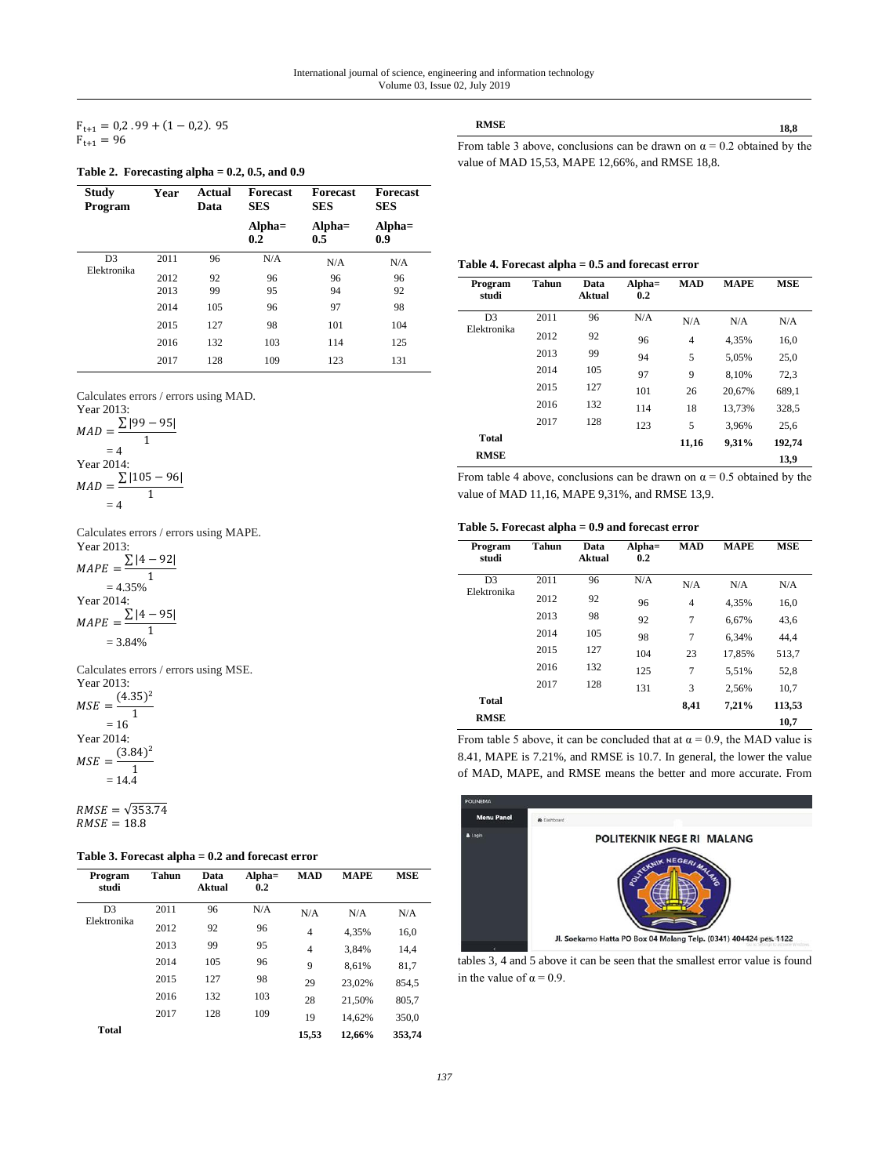$F_{t+1} = 0.2.99 + (1 - 0.2).95$  $F_{t+1} = 96$ 

### **Table 2. Forecasting alpha = 0.2, 0.5, and 0.9**

| Study<br>Program | Year | Actual<br>Data | Forecast<br><b>SES</b> | Forecast<br><b>SES</b> | <b>Forecast</b><br><b>SES</b> |
|------------------|------|----------------|------------------------|------------------------|-------------------------------|
|                  |      |                | $Alpha =$<br>0.2       | $Alpha=$<br>0.5        | $Alpha =$<br>0.9              |
| D <sub>3</sub>   | 2011 | 96             | N/A                    | N/A                    | N/A                           |
| Elektronika      | 2012 | 92             | 96                     | 96                     | 96                            |
|                  | 2013 | 99             | 95                     | 94                     | 92                            |
|                  | 2014 | 105            | 96                     | 97                     | 98                            |
|                  | 2015 | 127            | 98                     | 101                    | 104                           |
|                  | 2016 | 132            | 103                    | 114                    | 125                           |
|                  | 2017 | 128            | 109                    | 123                    | 131                           |

Calculates errors / errors using MAD.

Year 2013:  
\n
$$
MAD = \frac{\sum |99 - 95|}{1}
$$
\n= 4  
\nYear 2014:  
\n
$$
MAD = \frac{\sum |105 - 96|}{1}
$$
\n= 4

Calculates errors / errors using MAPE.

Year 2013:  $MAPE = \frac{\sum |4 - 92|}{1}$ 1  $= 4.35%$ Year 2014:  $MAPE = \frac{\sum |4 - 95|}{1}$ 1  $= 3.84%$ 

Calculates errors / errors using MSE. Year 2013:

 $MSE = \frac{(4.35)^2}{1}$ 1  $= 16$ Year 2014:  $MSE = \frac{(3.84)^2}{1}$ 1  $= 14.4$ 

 $RMSE = \sqrt{353.74}$  $RMSE = 18.8$ 

|  | Table 3. Forecast alpha $= 0.2$ and forecast error |  |  |  |  |
|--|----------------------------------------------------|--|--|--|--|
|--|----------------------------------------------------|--|--|--|--|

| Program<br>studi | Tahun | Data<br>Aktual | $Alpha =$<br>0.2 | <b>MAD</b> | <b>MAPE</b> | <b>MSE</b> |
|------------------|-------|----------------|------------------|------------|-------------|------------|
| D <sub>3</sub>   | 2011  | 96             | N/A              | N/A        | N/A         | N/A        |
| Elektronika      | 2012  | 92             | 96               | 4          | 4.35%       | 16,0       |
|                  | 2013  | 99             | 95               | 4          | 3.84%       | 14,4       |
|                  | 2014  | 105            | 96               | 9          | 8.61%       | 81,7       |
|                  | 2015  | 127            | 98               | 29         | 23,02%      | 854,5      |
|                  | 2016  | 132            | 103              | 28         | 21.50%      | 805,7      |
|                  | 2017  | 128            | 109              | 19         | 14.62%      | 350.0      |
| Total            |       |                |                  | 15,53      | 12.66%      | 353.74     |

**RMSE 18,8** From table 3 above, conclusions can be drawn on  $\alpha = 0.2$  obtained by the value of MAD 15,53, MAPE 12,66%, and RMSE 18,8.

## **Table 4. Forecast alpha = 0.5 and forecast error**

| Program<br>studi | <b>Tahun</b> | Data<br><b>Aktual</b> | $Alpha=$<br>0.2 | <b>MAD</b> | <b>MAPE</b> | <b>MSE</b> |
|------------------|--------------|-----------------------|-----------------|------------|-------------|------------|
| D <sub>3</sub>   | 2011         | 96                    | N/A             | N/A        | N/A         | N/A        |
| Elektronika      | 2012         | 92                    | 96              | 4          | 4.35%       | 16,0       |
|                  | 2013         | 99                    | 94              | 5          | 5.05%       | 25,0       |
|                  | 2014         | 105                   | 97              | 9          | 8.10%       | 72,3       |
|                  | 2015         | 127                   | 101             | 26         | 20.67%      | 689.1      |
|                  | 2016         | 132                   | 114             | 18         | 13,73%      | 328,5      |
|                  | 2017         | 128                   | 123             | 5          | 3.96%       | 25,6       |
| <b>Total</b>     |              |                       |                 | 11,16      | 9,31%       | 192,74     |
| <b>RMSE</b>      |              |                       |                 |            |             | 13.9       |

From table 4 above, conclusions can be drawn on  $\alpha = 0.5$  obtained by the value of MAD 11,16, MAPE 9,31%, and RMSE 13,9.

#### **Table 5. Forecast alpha = 0.9 and forecast error**

| Program<br>studi | Tahun | Data<br>Aktual | $Alpha =$<br>0.2 | <b>MAD</b>     | <b>MAPE</b> | <b>MSE</b> |
|------------------|-------|----------------|------------------|----------------|-------------|------------|
| D <sub>3</sub>   | 2011  | 96             | N/A              | N/A            | N/A         | N/A        |
| Elektronika      | 2012  | 92             | 96               | 4              | 4,35%       | 16,0       |
|                  | 2013  | 98             | 92               | $\overline{7}$ | 6.67%       | 43,6       |
|                  | 2014  | 105            | 98               | 7              | 6.34%       | 44.4       |
|                  | 2015  | 127            | 104              | 23             | 17.85%      | 513,7      |
|                  | 2016  | 132            | 125              | $\overline{7}$ | 5,51%       | 52,8       |
|                  | 2017  | 128            | 131              | 3              | 2.56%       | 10,7       |
| <b>Total</b>     |       |                |                  | 8.41           | 7.21%       | 113,53     |
| <b>RMSE</b>      |       |                |                  |                |             | 10,7       |

From table 5 above, it can be concluded that at  $\alpha = 0.9$ , the MAD value is 8.41, MAPE is 7.21%, and RMSE is 10.7. In general, the lower the value of MAD, MAPE, and RMSE means the better and more accurate. From



tables 3, 4 and 5 above it can be seen that the smallest error value is found in the value of  $\alpha = 0.9$ .